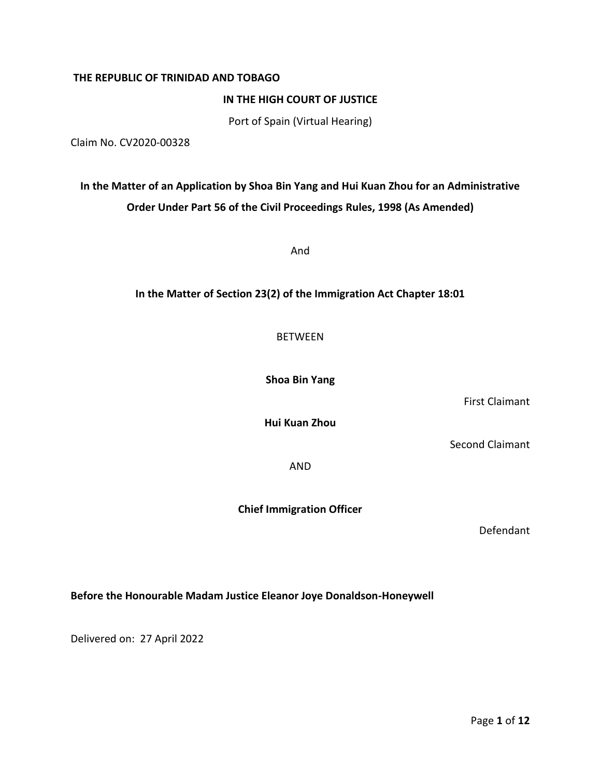## **THE REPUBLIC OF TRINIDAD AND TOBAGO**

**IN THE HIGH COURT OF JUSTICE**

Port of Spain (Virtual Hearing)

Claim No. CV2020-00328

# **In the Matter of an Application by Shoa Bin Yang and Hui Kuan Zhou for an Administrative Order Under Part 56 of the Civil Proceedings Rules, 1998 (As Amended)**

And

# **In the Matter of Section 23(2) of the Immigration Act Chapter 18:01**

BETWEEN

**Shoa Bin Yang**

First Claimant

**Hui Kuan Zhou**

Second Claimant

AND

**Chief Immigration Officer**

Defendant

**Before the Honourable Madam Justice Eleanor Joye Donaldson-Honeywell**

Delivered on: 27 April 2022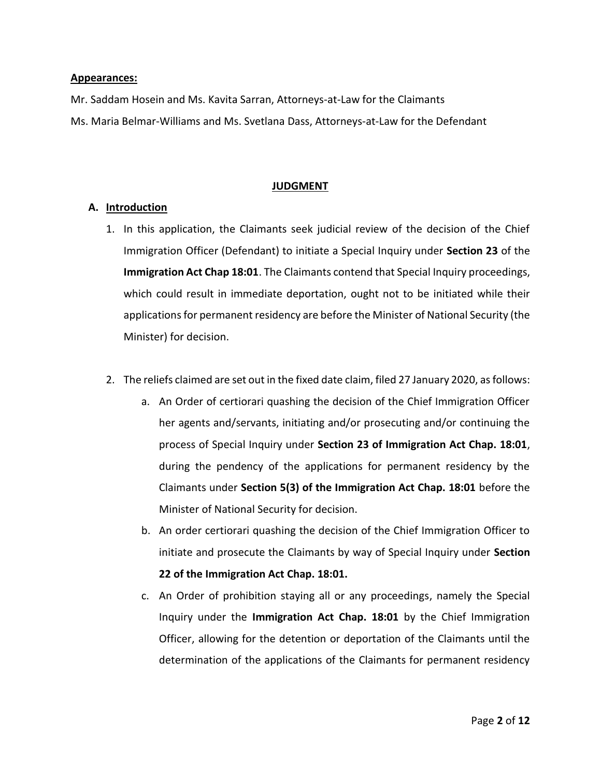### **Appearances:**

Mr. Saddam Hosein and Ms. Kavita Sarran, Attorneys-at-Law for the Claimants

Ms. Maria Belmar-Williams and Ms. Svetlana Dass, Attorneys-at-Law for the Defendant

## **JUDGMENT**

# **A. Introduction**

- 1. In this application, the Claimants seek judicial review of the decision of the Chief Immigration Officer (Defendant) to initiate a Special Inquiry under **Section 23** of the **Immigration Act Chap 18:01**. The Claimants contend that Special Inquiry proceedings, which could result in immediate deportation, ought not to be initiated while their applications for permanent residency are before the Minister of National Security (the Minister) for decision.
- 2. The reliefs claimed are set out in the fixed date claim, filed 27 January 2020, as follows:
	- a. An Order of certiorari quashing the decision of the Chief Immigration Officer her agents and/servants, initiating and/or prosecuting and/or continuing the process of Special Inquiry under **Section 23 of Immigration Act Chap. 18:01**, during the pendency of the applications for permanent residency by the Claimants under **Section 5(3) of the Immigration Act Chap. 18:01** before the Minister of National Security for decision.
	- b. An order certiorari quashing the decision of the Chief Immigration Officer to initiate and prosecute the Claimants by way of Special Inquiry under **Section 22 of the Immigration Act Chap. 18:01.**
	- c. An Order of prohibition staying all or any proceedings, namely the Special Inquiry under the **Immigration Act Chap. 18:01** by the Chief Immigration Officer, allowing for the detention or deportation of the Claimants until the determination of the applications of the Claimants for permanent residency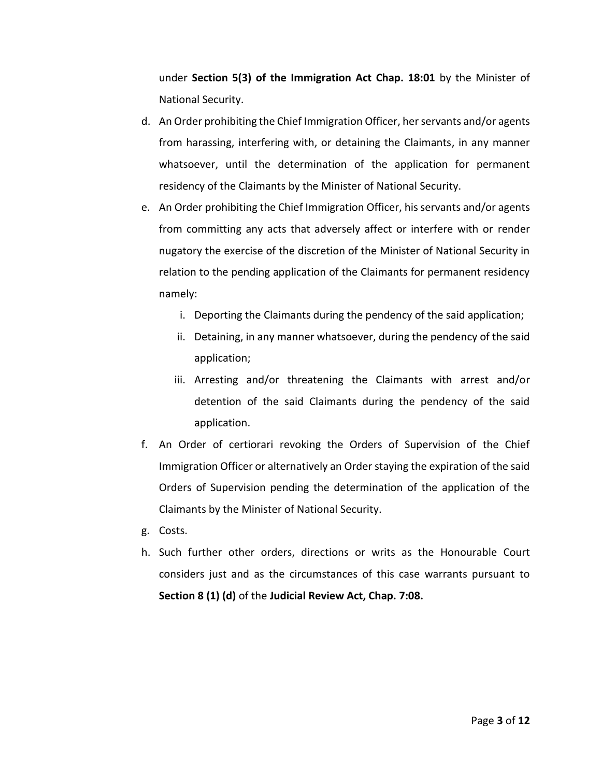under **Section 5(3) of the Immigration Act Chap. 18:01** by the Minister of National Security.

- d. An Order prohibiting the Chief Immigration Officer, her servants and/or agents from harassing, interfering with, or detaining the Claimants, in any manner whatsoever, until the determination of the application for permanent residency of the Claimants by the Minister of National Security.
- e. An Order prohibiting the Chief Immigration Officer, his servants and/or agents from committing any acts that adversely affect or interfere with or render nugatory the exercise of the discretion of the Minister of National Security in relation to the pending application of the Claimants for permanent residency namely:
	- i. Deporting the Claimants during the pendency of the said application;
	- ii. Detaining, in any manner whatsoever, during the pendency of the said application;
	- iii. Arresting and/or threatening the Claimants with arrest and/or detention of the said Claimants during the pendency of the said application.
- f. An Order of certiorari revoking the Orders of Supervision of the Chief Immigration Officer or alternatively an Order staying the expiration of the said Orders of Supervision pending the determination of the application of the Claimants by the Minister of National Security.
- g. Costs.
- h. Such further other orders, directions or writs as the Honourable Court considers just and as the circumstances of this case warrants pursuant to **Section 8 (1) (d)** of the **Judicial Review Act, Chap. 7:08.**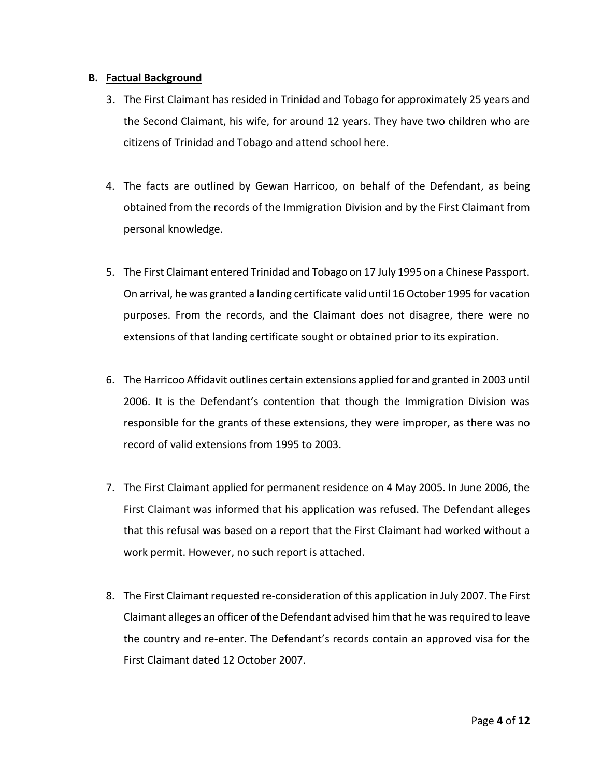## **B. Factual Background**

- 3. The First Claimant has resided in Trinidad and Tobago for approximately 25 years and the Second Claimant, his wife, for around 12 years. They have two children who are citizens of Trinidad and Tobago and attend school here.
- 4. The facts are outlined by Gewan Harricoo, on behalf of the Defendant, as being obtained from the records of the Immigration Division and by the First Claimant from personal knowledge.
- 5. The First Claimant entered Trinidad and Tobago on 17 July 1995 on a Chinese Passport. On arrival, he was granted a landing certificate valid until 16 October 1995 for vacation purposes. From the records, and the Claimant does not disagree, there were no extensions of that landing certificate sought or obtained prior to its expiration.
- 6. The Harricoo Affidavit outlines certain extensions applied for and granted in 2003 until 2006. It is the Defendant's contention that though the Immigration Division was responsible for the grants of these extensions, they were improper, as there was no record of valid extensions from 1995 to 2003.
- 7. The First Claimant applied for permanent residence on 4 May 2005. In June 2006, the First Claimant was informed that his application was refused. The Defendant alleges that this refusal was based on a report that the First Claimant had worked without a work permit. However, no such report is attached.
- 8. The First Claimant requested re-consideration of this application in July 2007. The First Claimant alleges an officer of the Defendant advised him that he was required to leave the country and re-enter. The Defendant's records contain an approved visa for the First Claimant dated 12 October 2007.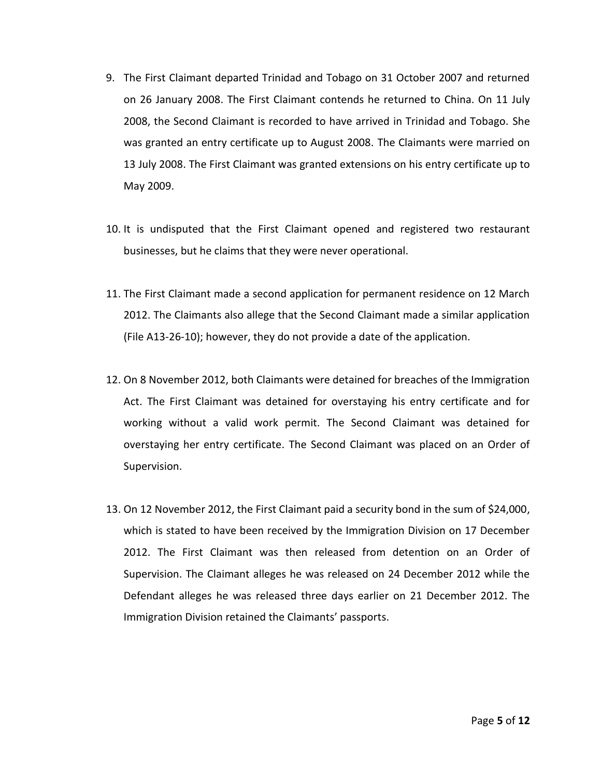- 9. The First Claimant departed Trinidad and Tobago on 31 October 2007 and returned on 26 January 2008. The First Claimant contends he returned to China. On 11 July 2008, the Second Claimant is recorded to have arrived in Trinidad and Tobago. She was granted an entry certificate up to August 2008. The Claimants were married on 13 July 2008. The First Claimant was granted extensions on his entry certificate up to May 2009.
- 10. It is undisputed that the First Claimant opened and registered two restaurant businesses, but he claims that they were never operational.
- 11. The First Claimant made a second application for permanent residence on 12 March 2012. The Claimants also allege that the Second Claimant made a similar application (File A13-26-10); however, they do not provide a date of the application.
- 12. On 8 November 2012, both Claimants were detained for breaches of the Immigration Act. The First Claimant was detained for overstaying his entry certificate and for working without a valid work permit. The Second Claimant was detained for overstaying her entry certificate. The Second Claimant was placed on an Order of Supervision.
- 13. On 12 November 2012, the First Claimant paid a security bond in the sum of \$24,000, which is stated to have been received by the Immigration Division on 17 December 2012. The First Claimant was then released from detention on an Order of Supervision. The Claimant alleges he was released on 24 December 2012 while the Defendant alleges he was released three days earlier on 21 December 2012. The Immigration Division retained the Claimants' passports.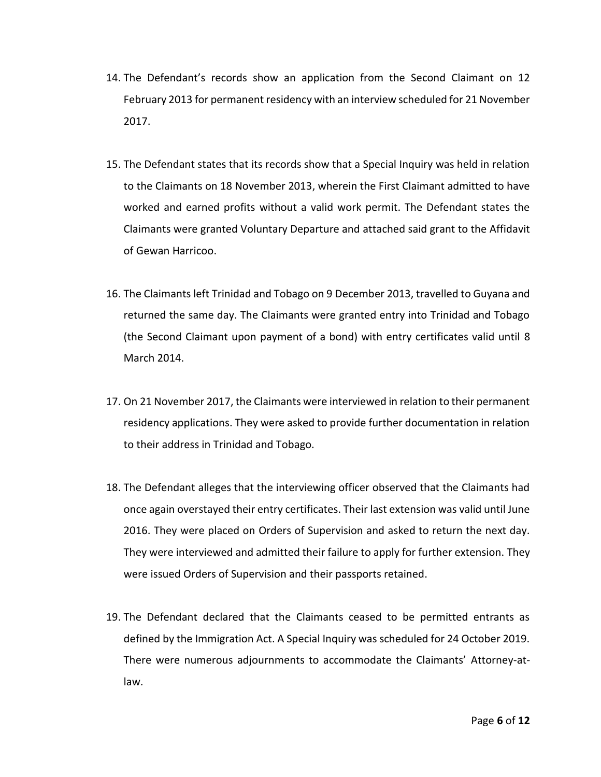- 14. The Defendant's records show an application from the Second Claimant on 12 February 2013 for permanent residency with an interview scheduled for 21 November 2017.
- 15. The Defendant states that its records show that a Special Inquiry was held in relation to the Claimants on 18 November 2013, wherein the First Claimant admitted to have worked and earned profits without a valid work permit. The Defendant states the Claimants were granted Voluntary Departure and attached said grant to the Affidavit of Gewan Harricoo.
- 16. The Claimants left Trinidad and Tobago on 9 December 2013, travelled to Guyana and returned the same day. The Claimants were granted entry into Trinidad and Tobago (the Second Claimant upon payment of a bond) with entry certificates valid until 8 March 2014.
- 17. On 21 November 2017, the Claimants were interviewed in relation to their permanent residency applications. They were asked to provide further documentation in relation to their address in Trinidad and Tobago.
- 18. The Defendant alleges that the interviewing officer observed that the Claimants had once again overstayed their entry certificates. Their last extension was valid until June 2016. They were placed on Orders of Supervision and asked to return the next day. They were interviewed and admitted their failure to apply for further extension. They were issued Orders of Supervision and their passports retained.
- 19. The Defendant declared that the Claimants ceased to be permitted entrants as defined by the Immigration Act. A Special Inquiry was scheduled for 24 October 2019. There were numerous adjournments to accommodate the Claimants' Attorney-atlaw.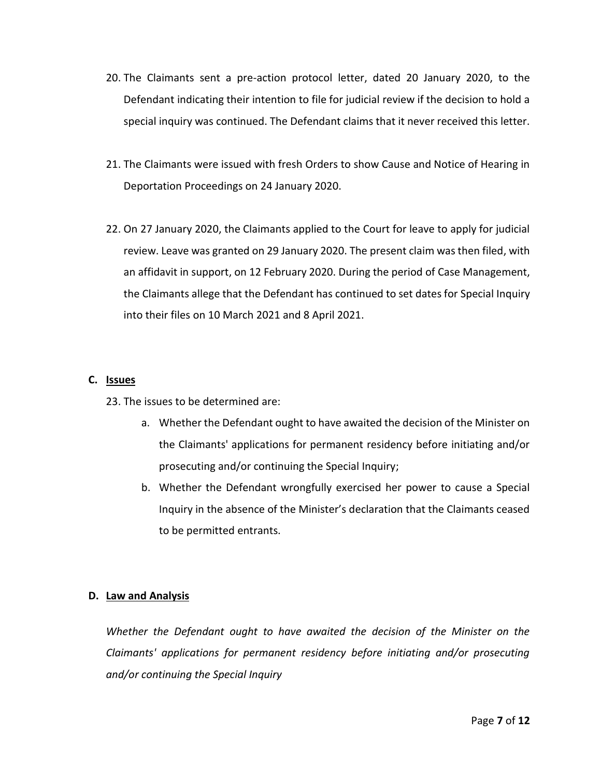- 20. The Claimants sent a pre-action protocol letter, dated 20 January 2020, to the Defendant indicating their intention to file for judicial review if the decision to hold a special inquiry was continued. The Defendant claims that it never received this letter.
- 21. The Claimants were issued with fresh Orders to show Cause and Notice of Hearing in Deportation Proceedings on 24 January 2020.
- 22. On 27 January 2020, the Claimants applied to the Court for leave to apply for judicial review. Leave was granted on 29 January 2020. The present claim was then filed, with an affidavit in support, on 12 February 2020. During the period of Case Management, the Claimants allege that the Defendant has continued to set dates for Special Inquiry into their files on 10 March 2021 and 8 April 2021.

## **C. Issues**

23. The issues to be determined are:

- a. Whether the Defendant ought to have awaited the decision of the Minister on the Claimants' applications for permanent residency before initiating and/or prosecuting and/or continuing the Special Inquiry;
- b. Whether the Defendant wrongfully exercised her power to cause a Special Inquiry in the absence of the Minister's declaration that the Claimants ceased to be permitted entrants.

## **D. Law and Analysis**

*Whether the Defendant ought to have awaited the decision of the Minister on the Claimants' applications for permanent residency before initiating and/or prosecuting and/or continuing the Special Inquiry*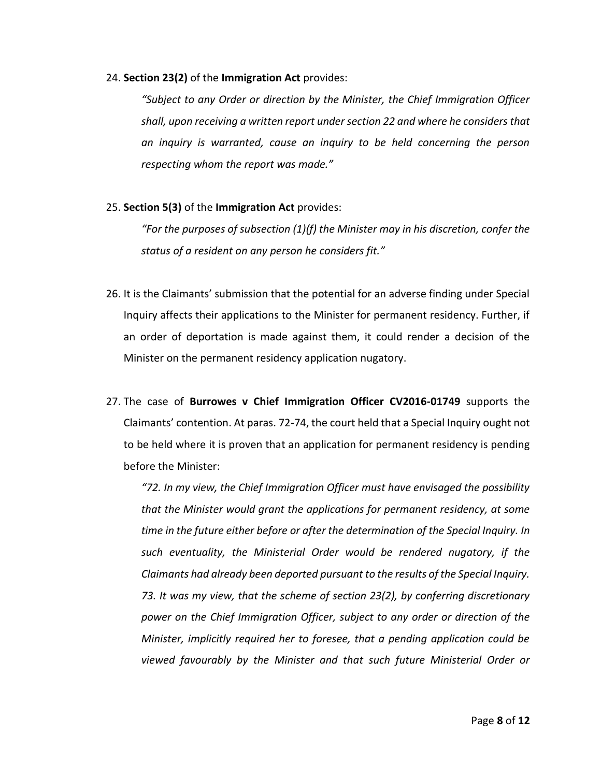#### 24. **Section 23(2)** of the **Immigration Act** provides:

*"Subject to any Order or direction by the Minister, the Chief Immigration Officer shall, upon receiving a written report under section 22 and where he considers that an inquiry is warranted, cause an inquiry to be held concerning the person respecting whom the report was made."*

#### 25. **Section 5(3)** of the **Immigration Act** provides:

*"For the purposes of subsection (1)(f) the Minister may in his discretion, confer the status of a resident on any person he considers fit."*

- 26. It is the Claimants' submission that the potential for an adverse finding under Special Inquiry affects their applications to the Minister for permanent residency. Further, if an order of deportation is made against them, it could render a decision of the Minister on the permanent residency application nugatory.
- 27. The case of **Burrowes v Chief Immigration Officer CV2016-01749** supports the Claimants' contention. At paras. 72-74, the court held that a Special Inquiry ought not to be held where it is proven that an application for permanent residency is pending before the Minister:

*"72. In my view, the Chief Immigration Officer must have envisaged the possibility that the Minister would grant the applications for permanent residency, at some time in the future either before or after the determination of the Special Inquiry. In such eventuality, the Ministerial Order would be rendered nugatory, if the Claimants had already been deported pursuant to the results of the Special Inquiry. 73. It was my view, that the scheme of section 23(2), by conferring discretionary power on the Chief Immigration Officer, subject to any order or direction of the Minister, implicitly required her to foresee, that a pending application could be viewed favourably by the Minister and that such future Ministerial Order or*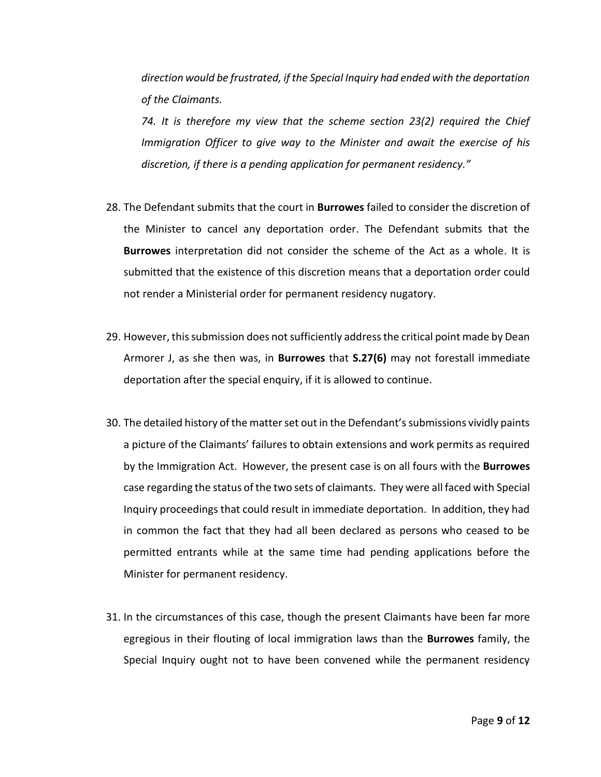*direction would be frustrated, if the Special Inquiry had ended with the deportation of the Claimants.*

*74. It is therefore my view that the scheme section 23(2) required the Chief Immigration Officer to give way to the Minister and await the exercise of his discretion, if there is a pending application for permanent residency."*

- 28. The Defendant submits that the court in **Burrowes** failed to consider the discretion of the Minister to cancel any deportation order. The Defendant submits that the **Burrowes** interpretation did not consider the scheme of the Act as a whole. It is submitted that the existence of this discretion means that a deportation order could not render a Ministerial order for permanent residency nugatory.
- 29. However, this submission does not sufficiently address the critical point made by Dean Armorer J, as she then was, in **Burrowes** that **S.27(6)** may not forestall immediate deportation after the special enquiry, if it is allowed to continue.
- 30. The detailed history of the matter set out in the Defendant's submissions vividly paints a picture of the Claimants' failures to obtain extensions and work permits as required by the Immigration Act. However, the present case is on all fours with the **Burrowes** case regarding the status of the two sets of claimants. They were all faced with Special Inquiry proceedings that could result in immediate deportation. In addition, they had in common the fact that they had all been declared as persons who ceased to be permitted entrants while at the same time had pending applications before the Minister for permanent residency.
- 31. In the circumstances of this case, though the present Claimants have been far more egregious in their flouting of local immigration laws than the **Burrowes** family, the Special Inquiry ought not to have been convened while the permanent residency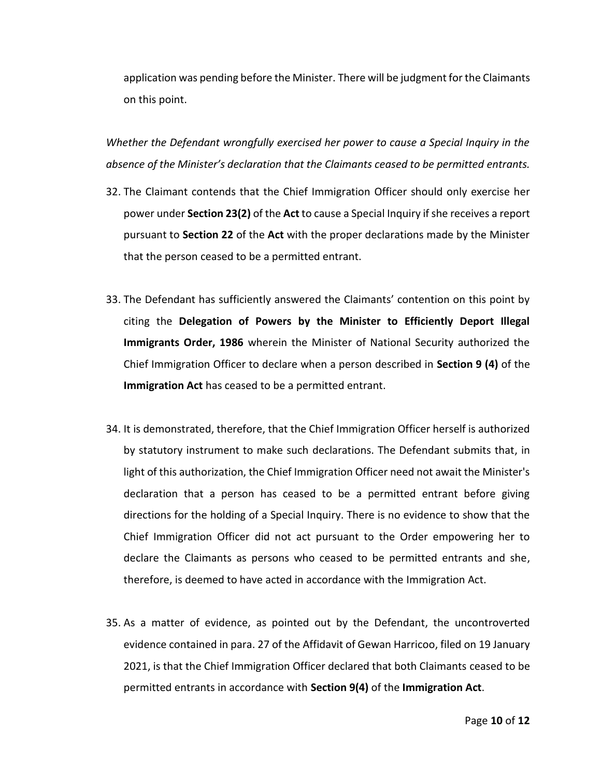application was pending before the Minister. There will be judgment for the Claimants on this point.

*Whether the Defendant wrongfully exercised her power to cause a Special Inquiry in the absence of the Minister's declaration that the Claimants ceased to be permitted entrants.*

- 32. The Claimant contends that the Chief Immigration Officer should only exercise her power under **Section 23(2)** of the **Act** to cause a Special Inquiry if she receives a report pursuant to **Section 22** of the **Act** with the proper declarations made by the Minister that the person ceased to be a permitted entrant.
- 33. The Defendant has sufficiently answered the Claimants' contention on this point by citing the **Delegation of Powers by the Minister to Efficiently Deport Illegal Immigrants Order, 1986** wherein the Minister of National Security authorized the Chief Immigration Officer to declare when a person described in **Section 9 (4)** of the **Immigration Act** has ceased to be a permitted entrant.
- 34. It is demonstrated, therefore, that the Chief Immigration Officer herself is authorized by statutory instrument to make such declarations. The Defendant submits that, in light of this authorization, the Chief Immigration Officer need not await the Minister's declaration that a person has ceased to be a permitted entrant before giving directions for the holding of a Special Inquiry. There is no evidence to show that the Chief Immigration Officer did not act pursuant to the Order empowering her to declare the Claimants as persons who ceased to be permitted entrants and she, therefore, is deemed to have acted in accordance with the Immigration Act.
- 35. As a matter of evidence, as pointed out by the Defendant, the uncontroverted evidence contained in para. 27 of the Affidavit of Gewan Harricoo, filed on 19 January 2021, is that the Chief Immigration Officer declared that both Claimants ceased to be permitted entrants in accordance with **Section 9(4)** of the **Immigration Act**.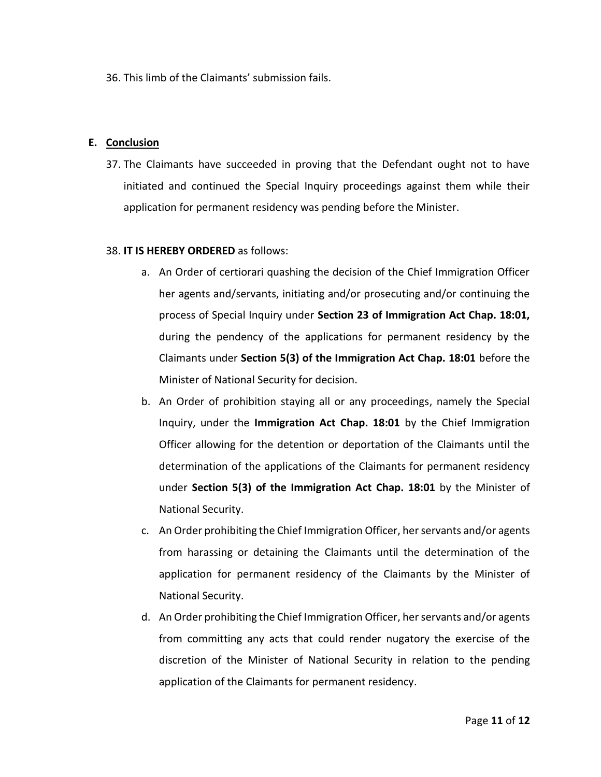36. This limb of the Claimants' submission fails.

## **E. Conclusion**

37. The Claimants have succeeded in proving that the Defendant ought not to have initiated and continued the Special Inquiry proceedings against them while their application for permanent residency was pending before the Minister.

## 38. **IT IS HEREBY ORDERED** as follows:

- a. An Order of certiorari quashing the decision of the Chief Immigration Officer her agents and/servants, initiating and/or prosecuting and/or continuing the process of Special Inquiry under **Section 23 of Immigration Act Chap. 18:01,** during the pendency of the applications for permanent residency by the Claimants under **Section 5(3) of the Immigration Act Chap. 18:01** before the Minister of National Security for decision.
- b. An Order of prohibition staying all or any proceedings, namely the Special Inquiry, under the **Immigration Act Chap. 18:01** by the Chief Immigration Officer allowing for the detention or deportation of the Claimants until the determination of the applications of the Claimants for permanent residency under **Section 5(3) of the Immigration Act Chap. 18:01** by the Minister of National Security.
- c. An Order prohibiting the Chief Immigration Officer, her servants and/or agents from harassing or detaining the Claimants until the determination of the application for permanent residency of the Claimants by the Minister of National Security.
- d. An Order prohibiting the Chief Immigration Officer, her servants and/or agents from committing any acts that could render nugatory the exercise of the discretion of the Minister of National Security in relation to the pending application of the Claimants for permanent residency.